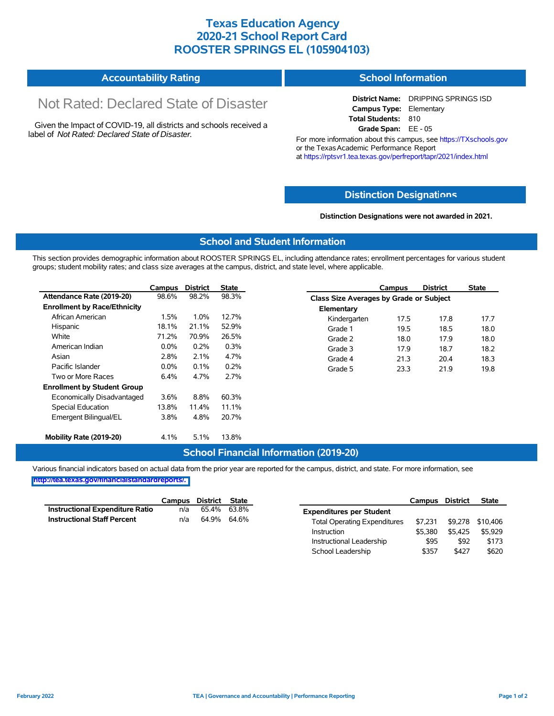## **Texas Education Agency 2020-21 School Report Card ROOSTER SPRINGS EL (105904103)**

| <b>Accountability Rating</b> | <b>School Information</b> |
|------------------------------|---------------------------|
|                              |                           |

# Not Rated: Declared State of Disaster

Given the Impact of COVID-19, all districts and schools received a label of *Not Rated: Declared State of Disaster.*

**District Name:** DRIPPING SPRINGS ISD **Campus Type:** Elementary **Total Students:** 810 **Grade Span:** EE - 05

For more information about this campus, see https://TXschools.gov or the Texas Academic Performance Report at https://rptsvr1.tea.texas.gov/perfreport/tapr/2021/index.html

#### **Distinction Designat[ions](https://TXschools.gov)**

**Distinction Designations were not awarded in 2021.**

School Leadership  $$357$  \$427 \$620

#### **School and Student Information**

This section provides demographic information about ROOSTER SPRINGS EL, including attendance rates; enrollment percentages for various student groups; student mobility rates; and class size averages at the campus, district, and state level, where applicable.

|                                     | Campus  | <b>District</b> | State |              | Campus                                  | <b>District</b> | <b>State</b> |  |  |
|-------------------------------------|---------|-----------------|-------|--------------|-----------------------------------------|-----------------|--------------|--|--|
| Attendance Rate (2019-20)           | 98.6%   | 98.2%           | 98.3% |              | Class Size Averages by Grade or Subject |                 |              |  |  |
| <b>Enrollment by Race/Ethnicity</b> |         |                 |       | Elementary   |                                         |                 |              |  |  |
| African American                    | 1.5%    | 1.0%            | 12.7% | Kindergarten | 17.5                                    | 17.8            | 17.7         |  |  |
| Hispanic                            | 18.1%   | 21.1%           | 52.9% | Grade 1      | 19.5                                    | 18.5            | 18.0         |  |  |
| White                               | 71.2%   | 70.9%           | 26.5% | Grade 2      | 18.0                                    | 17.9            | 18.0         |  |  |
| American Indian                     | $0.0\%$ | 0.2%            | 0.3%  | Grade 3      | 17.9                                    | 18.7            | 18.2         |  |  |
| Asian                               | 2.8%    | 2.1%            | 4.7%  | Grade 4      | 21.3                                    | 20.4            | 18.3         |  |  |
| Pacific Islander                    | $0.0\%$ | 0.1%            | 0.2%  | Grade 5      | 23.3                                    | 21.9            | 19.8         |  |  |
| Two or More Races                   | 6.4%    | 4.7%            | 2.7%  |              |                                         |                 |              |  |  |
| <b>Enrollment by Student Group</b>  |         |                 |       |              |                                         |                 |              |  |  |
| Economically Disadvantaged          | 3.6%    | 8.8%            | 60.3% |              |                                         |                 |              |  |  |
| Special Education                   | 13.8%   | 11.4%           | 11.1% |              |                                         |                 |              |  |  |
| Emergent Bilingual/EL               | 3.8%    | 4.8%            | 20.7% |              |                                         |                 |              |  |  |
|                                     |         |                 |       |              |                                         |                 |              |  |  |
| Mobility Rate (2019-20)             | 4.1%    | 5.1%            | 13.8% |              |                                         |                 |              |  |  |

#### **School Financial Information (2019-20)**

Various financial indicators based on actual data from the prior year are reported for the campus, district, and state. For more information, see

**[http://tea.texas.gov/financialstandardreports/.](http://tea.texas.gov/financialstandardreports/)**

|                                    | Campus | District State |             |                                     | Campus  | <b>District</b> | <b>State</b>     |
|------------------------------------|--------|----------------|-------------|-------------------------------------|---------|-----------------|------------------|
| Instructional Expenditure Ratio    | n/a    | 65.4%          | 63.8%       | <b>Expenditures per Student</b>     |         |                 |                  |
| <b>Instructional Staff Percent</b> | n/a    |                | 64.9% 64.6% | <b>Total Operating Expenditures</b> | \$7.231 |                 | \$9,278 \$10,406 |
|                                    |        |                |             | Instruction                         | \$5,380 | \$5.425         | \$5.929          |
|                                    |        |                |             | Instructional Leadership            | \$95    | \$92            | \$173            |